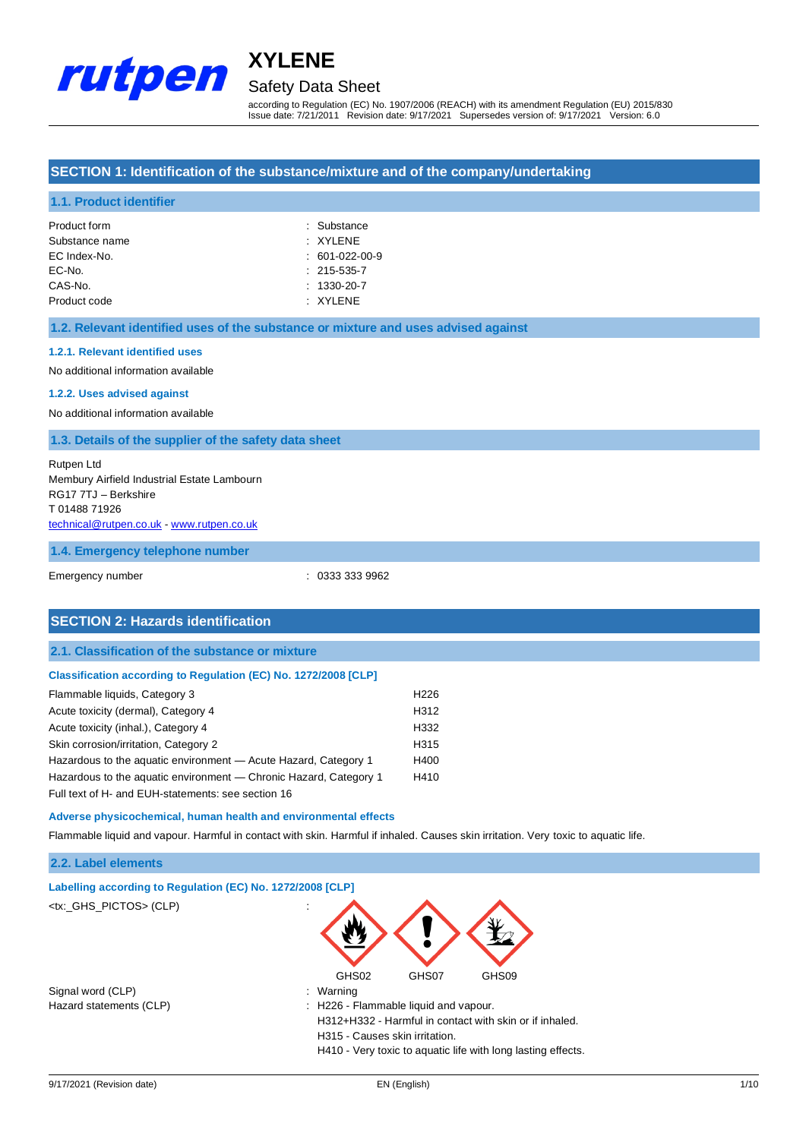

## Safety Data Sheet

according to Regulation (EC) No. 1907/2006 (REACH) with its amendment Regulation (EU) 2015/830 Issue date: 7/21/2011 Revision date: 9/17/2021 Supersedes version of: 9/17/2021 Version: 6.0

#### **SECTION 1: Identification of the substance/mixture and of the company/undertaking**

#### **1.1. Product identifier**

| Product form   | : Substance       |
|----------------|-------------------|
| Substance name | $\cdot$ XYI FNF   |
| EC Index-No.   | $: 601-022-00-9$  |
| EC-No.         | $: 215 - 535 - 7$ |
| CAS-No.        | $: 1330 - 20 - 7$ |
| Product code   | $\cdot$ XYI FNF   |

#### **1.2. Relevant identified uses of the substance or mixture and uses advised against**

#### **1.2.1. Relevant identified uses**

No additional information available

#### **1.2.2. Uses advised against**

No additional information available

#### **1.3. Details of the supplier of the safety data sheet**

| Rutpen Ltd                                  |
|---------------------------------------------|
| Membury Airfield Industrial Estate Lambourn |
| RG17 7TJ - Berkshire                        |
| T0148871926                                 |
| technical@rutpen.co.uk - www.rutpen.co.uk   |

#### **1.4. Emergency telephone number**

Emergency number : 0333 333 9962

| <b>SECTION 2: Hazards identification</b>                               |                  |
|------------------------------------------------------------------------|------------------|
| 2.1. Classification of the substance or mixture                        |                  |
| <b>Classification according to Regulation (EC) No. 1272/2008 [CLP]</b> |                  |
| Flammable liquids, Category 3                                          | H <sub>226</sub> |
| Acute toxicity (dermal), Category 4                                    | H312             |
| Acute toxicity (inhal.), Category 4                                    | H332             |
| Skin corrosion/irritation, Category 2                                  | H315             |
| Hazardous to the aquatic environment - Acute Hazard, Category 1        | H400             |
| Hazardous to the aquatic environment — Chronic Hazard, Category 1      | H410             |
| Full text of H- and EUH-statements: see section 16                     |                  |
|                                                                        |                  |

#### **Adverse physicochemical, human health and environmental effects**

Flammable liquid and vapour. Harmful in contact with skin. Harmful if inhaled. Causes skin irritation. Very toxic to aquatic life.

#### **2.2. Label elements**

| Labelling according to Regulation (EC) No. 1272/2008 [CLP] |                                                              |
|------------------------------------------------------------|--------------------------------------------------------------|
| <tx:_ghs_pictos> (CLP)</tx:_ghs_pictos>                    | $\mathbf{r}$                                                 |
|                                                            | GHS02<br>GHS07<br>GHS09                                      |
| Signal word (CLP)                                          | : Warning                                                    |
| Hazard statements (CLP)                                    | H226 - Flammable liquid and vapour.                          |
|                                                            | H312+H332 - Harmful in contact with skin or if inhaled.      |
|                                                            | H315 - Causes skin irritation.                               |
|                                                            | H410 - Very toxic to aquatic life with long lasting effects. |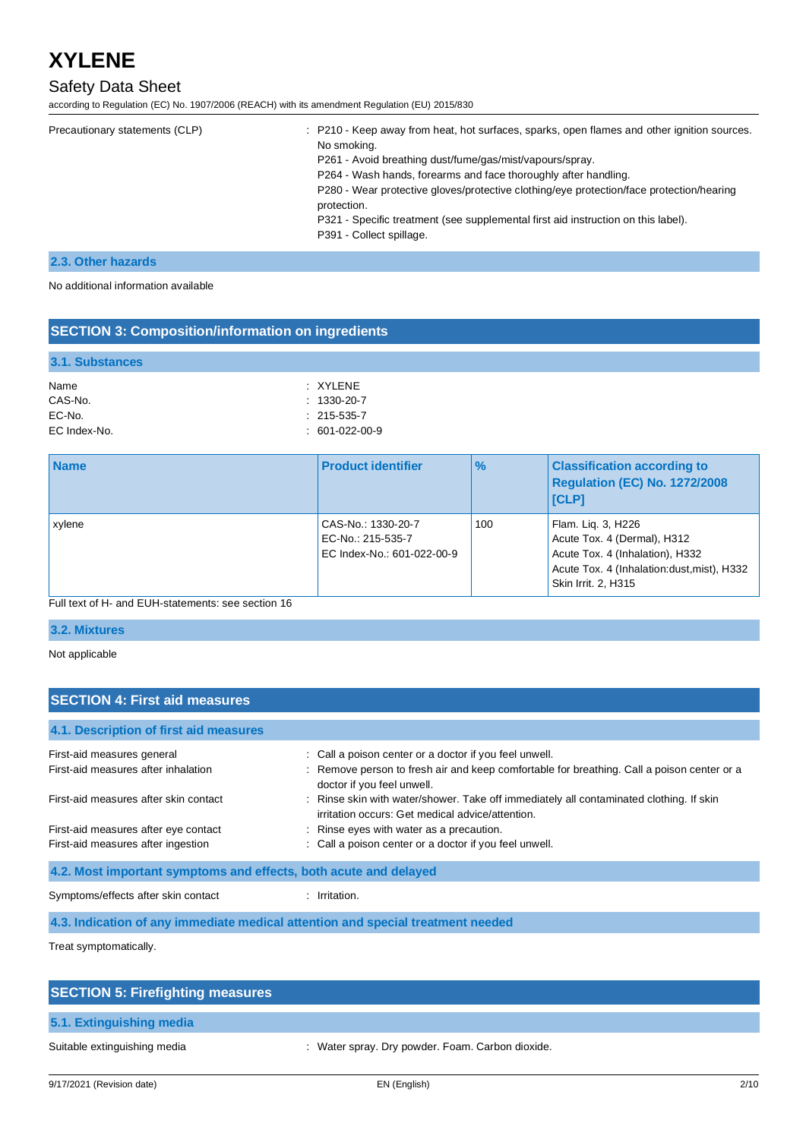## Safety Data Sheet

according to Regulation (EC) No. 1907/2006 (REACH) with its amendment Regulation (EU) 2015/830

| Precautionary statements (CLP) | : P210 - Keep away from heat, hot surfaces, sparks, open flames and other ignition sources.<br>No smoking.<br>P261 - Avoid breathing dust/fume/gas/mist/vapours/spray.<br>P264 - Wash hands, forearms and face thoroughly after handling.<br>P280 - Wear protective gloves/protective clothing/eye protection/face protection/hearing<br>protection.<br>P321 - Specific treatment (see supplemental first aid instruction on this label).<br>P391 - Collect spillage. |
|--------------------------------|-----------------------------------------------------------------------------------------------------------------------------------------------------------------------------------------------------------------------------------------------------------------------------------------------------------------------------------------------------------------------------------------------------------------------------------------------------------------------|
|                                |                                                                                                                                                                                                                                                                                                                                                                                                                                                                       |

#### **2.3. Other hazards**

No additional information available

#### **SECTION 3: Composition/information on ingredients**

| 3.1. Substances |                   |
|-----------------|-------------------|
| Name            | $\cdot$ XYI FNF   |
| CAS-No.         | $: 1330 - 20 - 7$ |
| EC-No.          | $: 215 - 535 - 7$ |
| EC Index-No.    | $: 601-022-00-9$  |

| <b>Name</b> | <b>Product identifier</b>                                             | $\frac{9}{6}$ | <b>Classification according to</b><br>Regulation (EC) No. 1272/2008<br><b>ICLPI</b>                                                                        |
|-------------|-----------------------------------------------------------------------|---------------|------------------------------------------------------------------------------------------------------------------------------------------------------------|
| xylene      | CAS-No.: 1330-20-7<br>EC-No.: 215-535-7<br>EC Index-No.: 601-022-00-9 | 100           | Flam. Lig. 3, H226<br>Acute Tox. 4 (Dermal), H312<br>Acute Tox. 4 (Inhalation), H332<br>Acute Tox. 4 (Inhalation: dust, mist), H332<br>Skin Irrit. 2, H315 |

Full text of H- and EUH-statements: see section 16

#### **3.2. Mixtures**

Not applicable

### **SECTION 4: First aid measures**

| 4.1. Description of first aid measures                                          |                                                                                                                                             |
|---------------------------------------------------------------------------------|---------------------------------------------------------------------------------------------------------------------------------------------|
| First-aid measures general                                                      | : Call a poison center or a doctor if you feel unwell.                                                                                      |
| First-aid measures after inhalation                                             | : Remove person to fresh air and keep comfortable for breathing. Call a poison center or a<br>doctor if you feel unwell.                    |
| First-aid measures after skin contact                                           | : Rinse skin with water/shower. Take off immediately all contaminated clothing. If skin<br>irritation occurs: Get medical advice/attention. |
| First-aid measures after eye contact                                            | : Rinse eyes with water as a precaution.                                                                                                    |
| First-aid measures after ingestion                                              | : Call a poison center or a doctor if you feel unwell.                                                                                      |
| 4.2. Most important symptoms and effects, both acute and delayed                |                                                                                                                                             |
| Symptoms/effects after skin contact                                             | $:$ Irritation.                                                                                                                             |
| 4.3. Indication of any immediate medical attention and special treatment needed |                                                                                                                                             |

Treat symptomatically.

| <b>SECTION 5: Firefighting measures</b> |                                                  |
|-----------------------------------------|--------------------------------------------------|
| 5.1. Extinguishing media                |                                                  |
| Suitable extinguishing media            | : Water spray. Dry powder. Foam. Carbon dioxide. |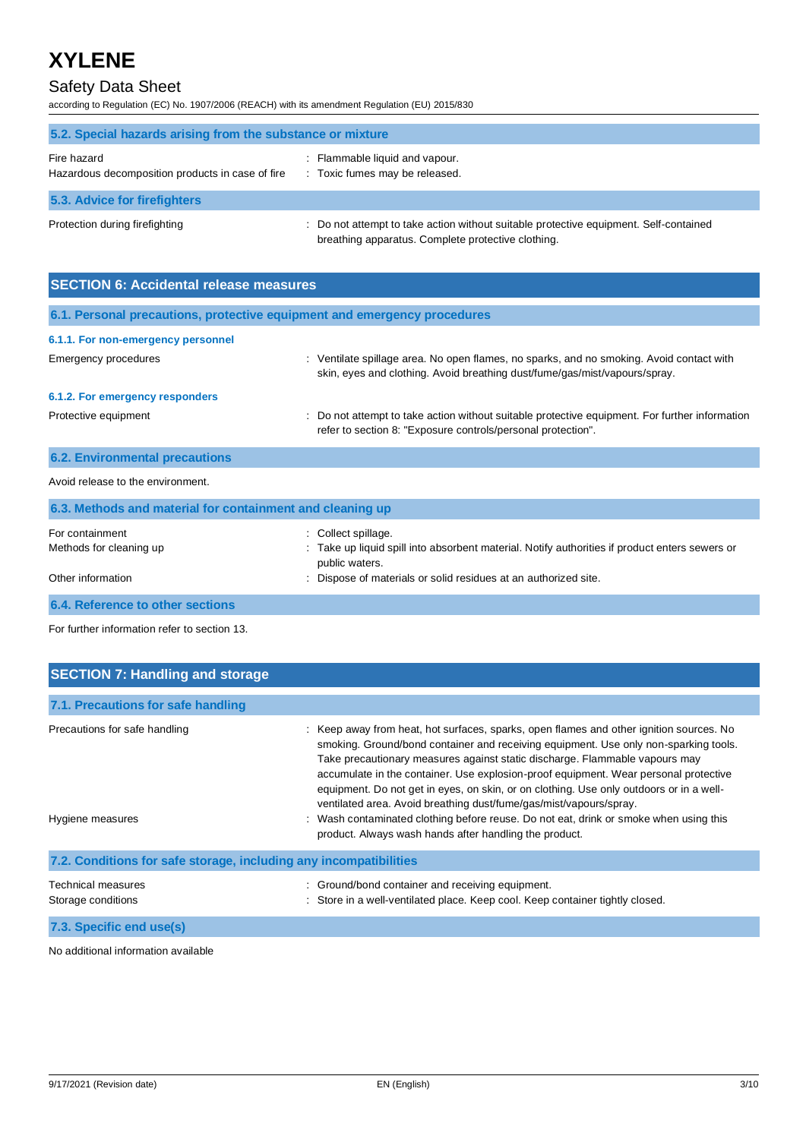## Safety Data Sheet

according to Regulation (EC) No. 1907/2006 (REACH) with its amendment Regulation (EU) 2015/830

| 5.2. Special hazards arising from the substance or mixture      |                                                                                                                                             |  |
|-----------------------------------------------------------------|---------------------------------------------------------------------------------------------------------------------------------------------|--|
| Fire hazard<br>Hazardous decomposition products in case of fire | $\therefore$ Flammable liquid and vapour.<br>: Toxic fumes may be released.                                                                 |  |
| 5.3. Advice for firefighters                                    |                                                                                                                                             |  |
| Protection during firefighting                                  | : Do not attempt to take action without suitable protective equipment. Self-contained<br>breathing apparatus. Complete protective clothing. |  |

| <b>SECTION 6: Accidental release measures</b>                            |                                                                                                                                                                        |  |
|--------------------------------------------------------------------------|------------------------------------------------------------------------------------------------------------------------------------------------------------------------|--|
| 6.1. Personal precautions, protective equipment and emergency procedures |                                                                                                                                                                        |  |
| 6.1.1. For non-emergency personnel                                       |                                                                                                                                                                        |  |
| Emergency procedures                                                     | : Ventilate spillage area. No open flames, no sparks, and no smoking. Avoid contact with<br>skin, eyes and clothing. Avoid breathing dust/fume/gas/mist/vapours/spray. |  |
| 6.1.2. For emergency responders                                          |                                                                                                                                                                        |  |
| Protective equipment                                                     | : Do not attempt to take action without suitable protective equipment. For further information<br>refer to section 8: "Exposure controls/personal protection".         |  |

| Avoid release to the environment.                         |                                                                                                                       |
|-----------------------------------------------------------|-----------------------------------------------------------------------------------------------------------------------|
| 6.3. Methods and material for containment and cleaning up |                                                                                                                       |
| For containment<br>Methods for cleaning up                | : Collect spillage.<br>: Take up liquid spill into absorbent material. Notify authorities if product enters sewers or |
| Other information                                         | public waters.<br>: Dispose of materials or solid residues at an authorized site.                                     |
| 6.4. Reference to other sections                          |                                                                                                                       |

For further information refer to section 13.

**6.2. Environmental precautions**

| <b>SECTION 7: Handling and storage</b>                            |                                                                                                                                                                                                                                                                                                                                                                                                                                                                                                                                                                                                                                                                        |  |  |
|-------------------------------------------------------------------|------------------------------------------------------------------------------------------------------------------------------------------------------------------------------------------------------------------------------------------------------------------------------------------------------------------------------------------------------------------------------------------------------------------------------------------------------------------------------------------------------------------------------------------------------------------------------------------------------------------------------------------------------------------------|--|--|
| 7.1. Precautions for safe handling                                |                                                                                                                                                                                                                                                                                                                                                                                                                                                                                                                                                                                                                                                                        |  |  |
| Precautions for safe handling<br>Hygiene measures                 | Keep away from heat, hot surfaces, sparks, open flames and other ignition sources. No<br>smoking. Ground/bond container and receiving equipment. Use only non-sparking tools.<br>Take precautionary measures against static discharge. Flammable vapours may<br>accumulate in the container. Use explosion-proof equipment. Wear personal protective<br>equipment. Do not get in eyes, on skin, or on clothing. Use only outdoors or in a well-<br>ventilated area. Avoid breathing dust/fume/gas/mist/vapours/spray.<br>Wash contaminated clothing before reuse. Do not eat, drink or smoke when using this<br>product. Always wash hands after handling the product. |  |  |
| 7.2. Conditions for safe storage, including any incompatibilities |                                                                                                                                                                                                                                                                                                                                                                                                                                                                                                                                                                                                                                                                        |  |  |
| Technical measures<br>Storage conditions                          | : Ground/bond container and receiving equipment.<br>Store in a well-ventilated place. Keep cool. Keep container tightly closed.                                                                                                                                                                                                                                                                                                                                                                                                                                                                                                                                        |  |  |
| 7.3. Specific end use(s)                                          |                                                                                                                                                                                                                                                                                                                                                                                                                                                                                                                                                                                                                                                                        |  |  |

No additional information available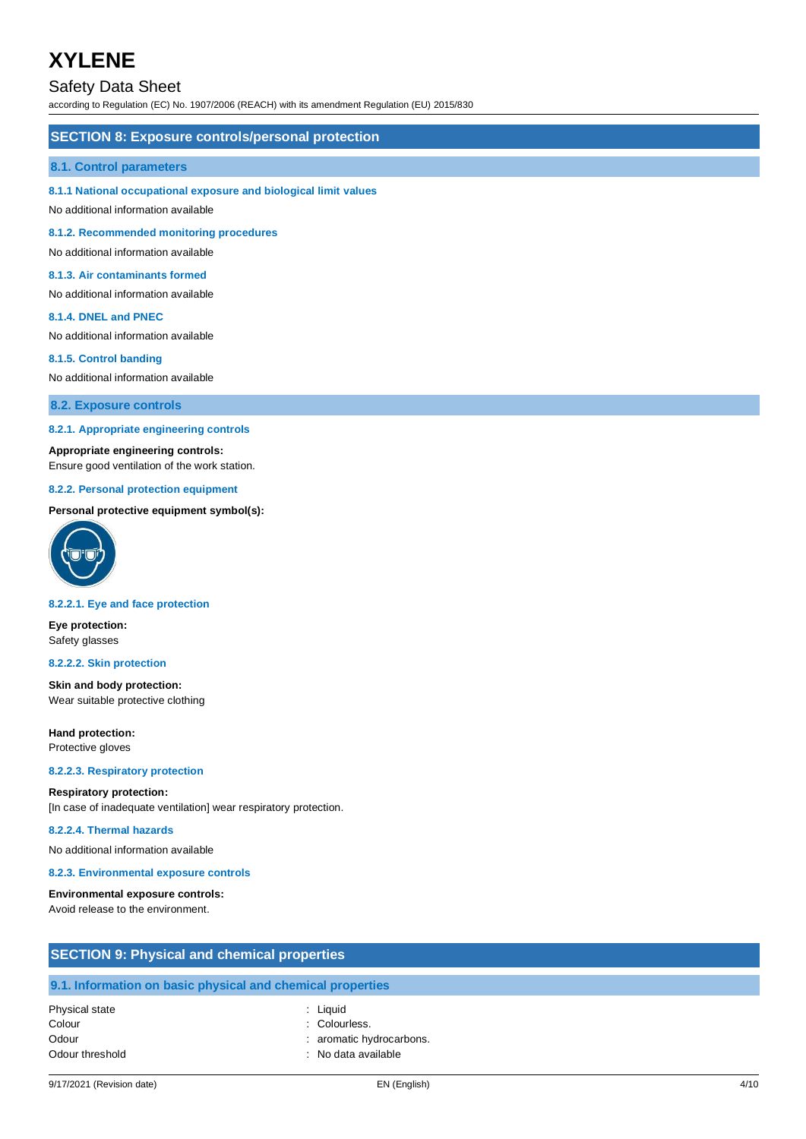### Safety Data Sheet

according to Regulation (EC) No. 1907/2006 (REACH) with its amendment Regulation (EU) 2015/830

#### **SECTION 8: Exposure controls/personal protection**

#### **8.1. Control parameters**

#### **8.1.1 National occupational exposure and biological limit values**

No additional information available

**8.1.2. Recommended monitoring procedures**

No additional information available

#### **8.1.3. Air contaminants formed**

No additional information available

#### **8.1.4. DNEL and PNEC**

No additional information available

#### **8.1.5. Control banding**

No additional information available

**8.2. Exposure controls**

#### **8.2.1. Appropriate engineering controls**

#### **Appropriate engineering controls:**

Ensure good ventilation of the work station.

#### **8.2.2. Personal protection equipment**

#### **Personal protective equipment symbol(s):**



#### **8.2.2.1. Eye and face protection**

**Eye protection:** Safety glasses

#### **8.2.2.2. Skin protection**

**Skin and body protection:** Wear suitable protective clothing

**Hand protection:** Protective gloves

#### **8.2.2.3. Respiratory protection**

#### **Respiratory protection:**

[In case of inadequate ventilation] wear respiratory protection.

#### **8.2.2.4. Thermal hazards**

No additional information available

#### **8.2.3. Environmental exposure controls**

#### **Environmental exposure controls:**

Avoid release to the environment.

| <b>SECTION 9: Physical and chemical properties</b> |                                                            |  |
|----------------------------------------------------|------------------------------------------------------------|--|
|                                                    | 9.1. Information on basic physical and chemical properties |  |
| Physical state                                     | : Liauid                                                   |  |
| Colour                                             | : Colourless.                                              |  |
| Odour                                              | : aromatic hydrocarbons.                                   |  |

Odour threshold in the state of the state of the state of the Solomon state of the Solomon state of the Solomon Solomon state of the Solomon state of the Solomon state of the Solomon state of the Solomon state of the Solom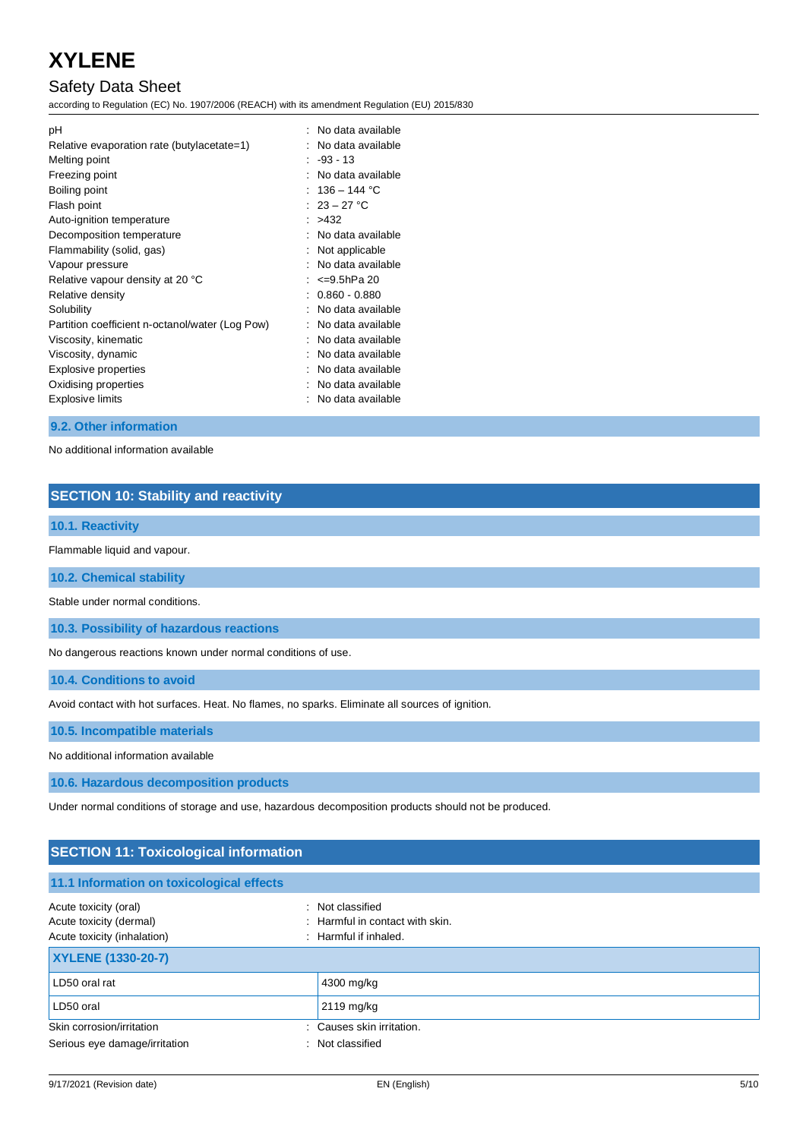## Safety Data Sheet

according to Regulation (EC) No. 1907/2006 (REACH) with its amendment Regulation (EU) 2015/830

| рH<br>Relative evaporation rate (butylacetate=1)<br>Melting point | No data available<br>No data available<br>$-93 - 13$<br>No data available |
|-------------------------------------------------------------------|---------------------------------------------------------------------------|
| Freezing point<br>Boiling point                                   | $136 - 144$ °C                                                            |
| Flash point                                                       | : $23 - 27$ °C                                                            |
| Auto-ignition temperature                                         | : >432                                                                    |
| Decomposition temperature                                         | No data available                                                         |
| Flammability (solid, gas)                                         | Not applicable                                                            |
| Vapour pressure                                                   | No data available                                                         |
| Relative vapour density at 20 °C                                  | <=9.5hPa 20                                                               |
| Relative density                                                  | $0.860 - 0.880$                                                           |
| Solubility                                                        | No data available                                                         |
| Partition coefficient n-octanol/water (Log Pow)                   | No data available                                                         |
| Viscosity, kinematic                                              | No data available                                                         |
| Viscosity, dynamic                                                | No data available                                                         |
| Explosive properties                                              | No data available                                                         |
| Oxidising properties                                              | No data available                                                         |
| Explosive limits                                                  | No data available                                                         |

#### **9.2. Other information**

No additional information available

### **SECTION 10: Stability and reactivity**

### **10.1. Reactivity**

Flammable liquid and vapour.

**10.2. Chemical stability**

Stable under normal conditions.

**10.3. Possibility of hazardous reactions**

No dangerous reactions known under normal conditions of use.

**10.4. Conditions to avoid**

Avoid contact with hot surfaces. Heat. No flames, no sparks. Eliminate all sources of ignition.

**10.5. Incompatible materials**

No additional information available

**10.6. Hazardous decomposition products**

Under normal conditions of storage and use, hazardous decomposition products should not be produced.

### **SECTION 11: Toxicological information**

| 11.1 Information on toxicological effects                                       |                                                                                         |
|---------------------------------------------------------------------------------|-----------------------------------------------------------------------------------------|
| Acute toxicity (oral)<br>Acute toxicity (dermal)<br>Acute toxicity (inhalation) | : Not classified<br>$\therefore$ Harmful in contact with skin.<br>: Harmful if inhaled. |
| <b>XYLENE (1330-20-7)</b>                                                       |                                                                                         |
| LD50 oral rat                                                                   | 4300 mg/kg                                                                              |
| LD50 oral                                                                       | 2119 mg/kg                                                                              |
| Skin corrosion/irritation                                                       | : Causes skin irritation.                                                               |
| Serious eye damage/irritation                                                   | : Not classified                                                                        |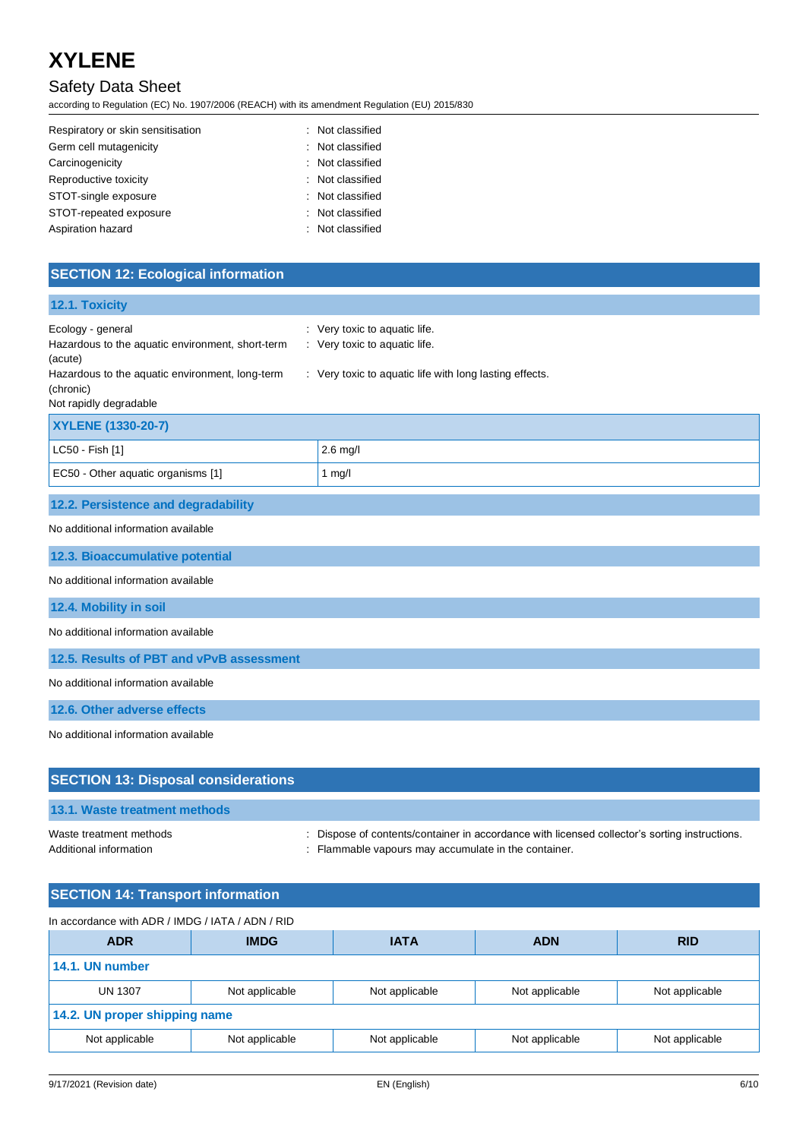## Safety Data Sheet

according to Regulation (EC) No. 1907/2006 (REACH) with its amendment Regulation (EU) 2015/830

| Respiratory or skin sensitisation<br>: Not classified |  |
|-------------------------------------------------------|--|
| Germ cell mutagenicity<br>: Not classified            |  |
| Carcinogenicity<br>: Not classified                   |  |
| Reproductive toxicity<br>Not classified               |  |
| STOT-single exposure<br>: Not classified              |  |
| STOT-repeated exposure<br>: Not classified            |  |
| Aspiration hazard<br>: Not classified                 |  |

## **SECTION 12: Ecological information**

| 12.1. Toxicity                                                                                                                                                             |                                                                                                                           |  |
|----------------------------------------------------------------------------------------------------------------------------------------------------------------------------|---------------------------------------------------------------------------------------------------------------------------|--|
| Ecology - general<br>Hazardous to the aquatic environment, short-term<br>(acute)<br>Hazardous to the aquatic environment, long-term<br>(chronic)<br>Not rapidly degradable | : Very toxic to aquatic life.<br>: Very toxic to aquatic life.<br>: Very toxic to aquatic life with long lasting effects. |  |
| XYLENE (1330-20-7)                                                                                                                                                         |                                                                                                                           |  |
| LC50 - Fish [1]                                                                                                                                                            | $2.6$ mg/l                                                                                                                |  |
| EC50 - Other aquatic organisms [1]                                                                                                                                         | 1 $mg/l$                                                                                                                  |  |
| 12.2. Persistence and degradability                                                                                                                                        |                                                                                                                           |  |
| No additional information available                                                                                                                                        |                                                                                                                           |  |
| 12.3. Bioaccumulative potential                                                                                                                                            |                                                                                                                           |  |
| No additional information available                                                                                                                                        |                                                                                                                           |  |
| 12.4. Mobility in soil                                                                                                                                                     |                                                                                                                           |  |
| No additional information available                                                                                                                                        |                                                                                                                           |  |
| 12.5. Results of PBT and vPvB assessment                                                                                                                                   |                                                                                                                           |  |
| No additional information available                                                                                                                                        |                                                                                                                           |  |
| 12.6. Other adverse effects                                                                                                                                                |                                                                                                                           |  |
| No additional information available                                                                                                                                        |                                                                                                                           |  |
|                                                                                                                                                                            |                                                                                                                           |  |
| <b>SECTION 13: Disposal considerations</b>                                                                                                                                 |                                                                                                                           |  |

### **13.1. Waste treatment methods**

Waste treatment methods : Dispose of contents/container in accordance with licensed collector's sorting instructions.

Additional information **interest in the container** : Flammable vapours may accumulate in the container.

| <b>SECTION 14: Transport information</b>         |                |                |                |                |
|--------------------------------------------------|----------------|----------------|----------------|----------------|
| In accordance with ADR / IMDG / IATA / ADN / RID |                |                |                |                |
| <b>ADR</b>                                       | <b>IMDG</b>    | <b>IATA</b>    | <b>ADN</b>     | <b>RID</b>     |
| 14.1. UN number                                  |                |                |                |                |
| <b>UN 1307</b>                                   | Not applicable | Not applicable | Not applicable | Not applicable |
| 14.2. UN proper shipping name                    |                |                |                |                |
| Not applicable                                   | Not applicable | Not applicable | Not applicable | Not applicable |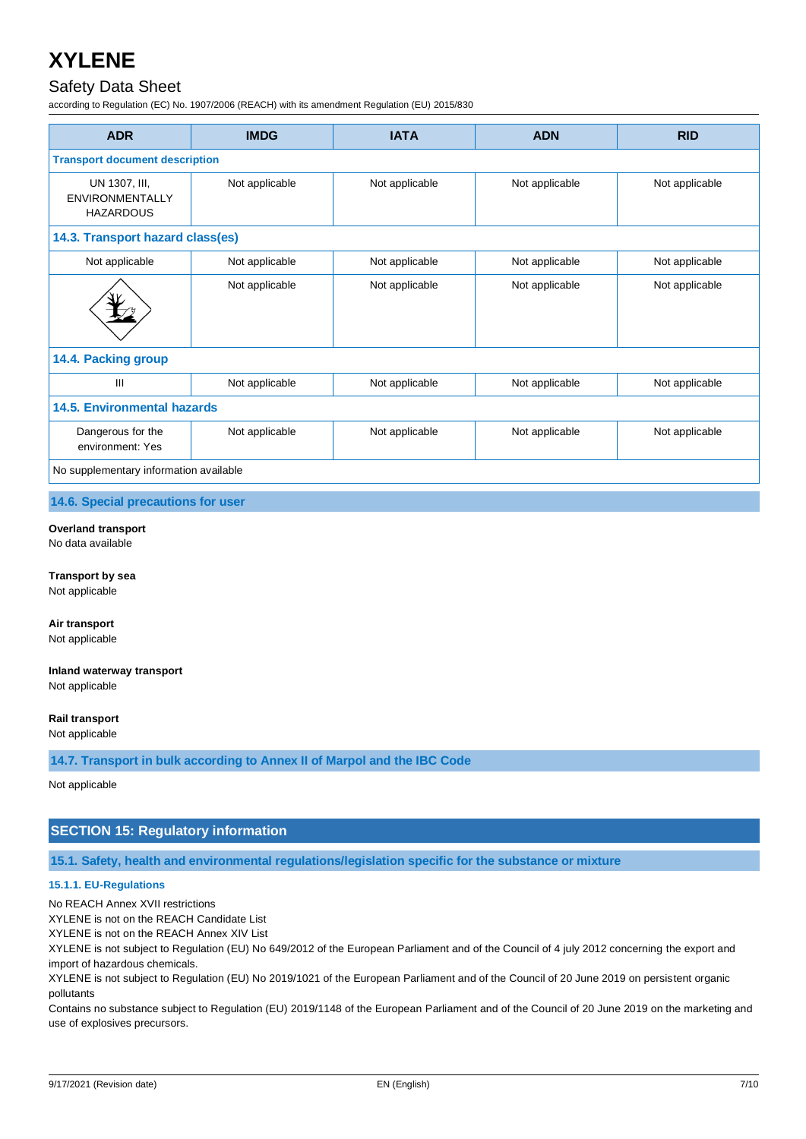### Safety Data Sheet

according to Regulation (EC) No. 1907/2006 (REACH) with its amendment Regulation (EU) 2015/830

| <b>ADR</b>                                           | <b>IMDG</b>    | <b>IATA</b>    | <b>ADN</b>     | <b>RID</b>     |
|------------------------------------------------------|----------------|----------------|----------------|----------------|
| <b>Transport document description</b>                |                |                |                |                |
| UN 1307, III,<br>ENVIRONMENTALLY<br><b>HAZARDOUS</b> | Not applicable | Not applicable | Not applicable | Not applicable |
| 14.3. Transport hazard class(es)                     |                |                |                |                |
| Not applicable                                       | Not applicable | Not applicable | Not applicable | Not applicable |
|                                                      | Not applicable | Not applicable | Not applicable | Not applicable |
| 14.4. Packing group                                  |                |                |                |                |
| $\mathsf{III}$                                       | Not applicable | Not applicable | Not applicable | Not applicable |
| <b>14.5. Environmental hazards</b>                   |                |                |                |                |
| Dangerous for the<br>environment: Yes                | Not applicable | Not applicable | Not applicable | Not applicable |
| No supplementary information available               |                |                |                |                |

**14.6. Special precautions for user**

#### **Overland transport**

No data available

**Transport by sea** Not applicable

**Air transport** Not applicable

**Inland waterway transport**

Not applicable

#### **Rail transport**

Not applicable

**14.7. Transport in bulk according to Annex II of Marpol and the IBC Code**

Not applicable

#### **SECTION 15: Regulatory information**

**15.1. Safety, health and environmental regulations/legislation specific for the substance or mixture**

#### **15.1.1. EU-Regulations**

No REACH Annex XVII restrictions

XYLENE is not on the REACH Candidate List

XYLENE is not on the REACH Annex XIV List

XYLENE is not subject to Regulation (EU) No 649/2012 of the European Parliament and of the Council of 4 july 2012 concerning the export and import of hazardous chemicals.

XYLENE is not subject to Regulation (EU) No 2019/1021 of the European Parliament and of the Council of 20 June 2019 on persistent organic pollutants

Contains no substance subject to Regulation (EU) 2019/1148 of the European Parliament and of the Council of 20 June 2019 on the marketing and use of explosives precursors.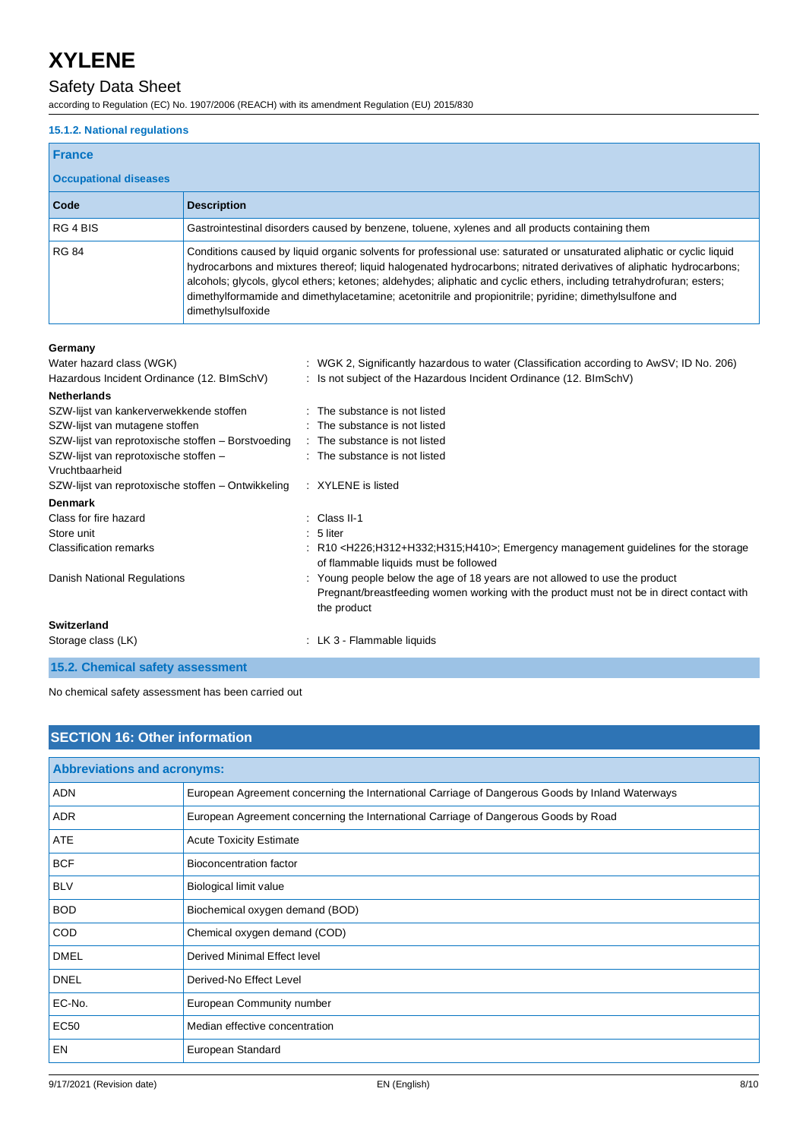### Safety Data Sheet

according to Regulation (EC) No. 1907/2006 (REACH) with its amendment Regulation (EU) 2015/830

#### **15.1.2. National regulations**

### **France**

#### **Occupational diseases**

| Occupational diseases |                                                                                                                                                                                                                                                                                                                                                                                                                                                                                                       |
|-----------------------|-------------------------------------------------------------------------------------------------------------------------------------------------------------------------------------------------------------------------------------------------------------------------------------------------------------------------------------------------------------------------------------------------------------------------------------------------------------------------------------------------------|
| Code                  | <b>Description</b>                                                                                                                                                                                                                                                                                                                                                                                                                                                                                    |
| RG 4 BIS              | Gastrointestinal disorders caused by benzene, toluene, xylenes and all products containing them                                                                                                                                                                                                                                                                                                                                                                                                       |
| <b>RG 84</b>          | Conditions caused by liquid organic solvents for professional use: saturated or unsaturated aliphatic or cyclic liquid<br>hydrocarbons and mixtures thereof; liquid halogenated hydrocarbons; nitrated derivatives of aliphatic hydrocarbons;<br>alcohols; glycols, glycol ethers; ketones; aldehydes; aliphatic and cyclic ethers, including tetrahydrofuran; esters;<br>dimethylformamide and dimethylacetamine; acetonitrile and propionitrile; pyridine; dimethylsulfone and<br>dimethylsulfoxide |

#### **Germany**

| Water hazard class (WGK)                           |             | : WGK 2, Significantly hazardous to water (Classification according to AwSV; ID No. 206)                                                                                               |
|----------------------------------------------------|-------------|----------------------------------------------------------------------------------------------------------------------------------------------------------------------------------------|
| Hazardous Incident Ordinance (12. BImSchV)         |             | : Is not subject of the Hazardous Incident Ordinance (12. BImSchV)                                                                                                                     |
| <b>Netherlands</b>                                 |             |                                                                                                                                                                                        |
| SZW-lijst van kankerverwekkende stoffen            |             | : The substance is not listed                                                                                                                                                          |
| SZW-lijst van mutagene stoffen                     |             | : The substance is not listed                                                                                                                                                          |
| SZW-lijst van reprotoxische stoffen – Borstvoeding |             | : The substance is not listed                                                                                                                                                          |
| SZW-lijst van reprotoxische stoffen -              |             | : The substance is not listed                                                                                                                                                          |
| Vruchtbaarheid                                     |             |                                                                                                                                                                                        |
| SZW-lijst van reprotoxische stoffen – Ontwikkeling |             | : XYLENE is listed                                                                                                                                                                     |
| <b>Denmark</b>                                     |             |                                                                                                                                                                                        |
| Class for fire hazard                              |             | $\therefore$ Class II-1                                                                                                                                                                |
| Store unit                                         | $: 5$ liter |                                                                                                                                                                                        |
| <b>Classification remarks</b>                      |             | : R10 <h226;h312+h332;h315;h410>; Emergency management guidelines for the storage<br/>of flammable liquids must be followed</h226;h312+h332;h315;h410>                                 |
| Danish National Regulations                        |             | : Young people below the age of 18 years are not allowed to use the product<br>Pregnant/breastfeeding women working with the product must not be in direct contact with<br>the product |
| <b>Switzerland</b>                                 |             |                                                                                                                                                                                        |
| Storage class (LK)                                 |             | : LK 3 - Flammable liquids                                                                                                                                                             |

**15.2. Chemical safety assessment**

No chemical safety assessment has been carried out

### **SECTION 16: Other information**

| <b>Abbreviations and acronyms:</b> |                                                                                                 |
|------------------------------------|-------------------------------------------------------------------------------------------------|
| <b>ADN</b>                         | European Agreement concerning the International Carriage of Dangerous Goods by Inland Waterways |
| <b>ADR</b>                         | European Agreement concerning the International Carriage of Dangerous Goods by Road             |
| ATE                                | <b>Acute Toxicity Estimate</b>                                                                  |
| <b>BCF</b>                         | Bioconcentration factor                                                                         |
| <b>BLV</b>                         | Biological limit value                                                                          |
| <b>BOD</b>                         | Biochemical oxygen demand (BOD)                                                                 |
| <b>COD</b>                         | Chemical oxygen demand (COD)                                                                    |
| <b>DMEL</b>                        | Derived Minimal Effect level                                                                    |
| <b>DNEL</b>                        | Derived-No Effect Level                                                                         |
| EC-No.                             | European Community number                                                                       |
| <b>EC50</b>                        | Median effective concentration                                                                  |
| EN                                 | European Standard                                                                               |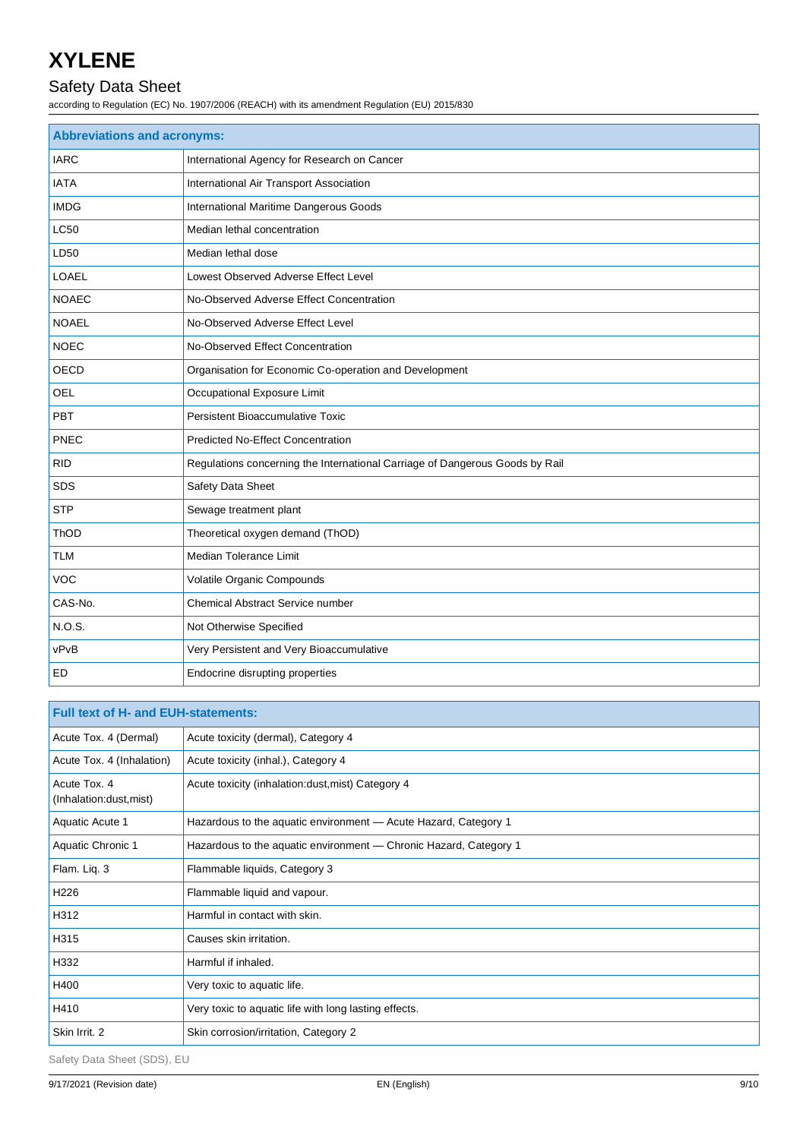## Safety Data Sheet

according to Regulation (EC) No. 1907/2006 (REACH) with its amendment Regulation (EU) 2015/830

| <b>Abbreviations and acronyms:</b> |                                                                              |  |
|------------------------------------|------------------------------------------------------------------------------|--|
| <b>IARC</b>                        | International Agency for Research on Cancer                                  |  |
| <b>IATA</b>                        | International Air Transport Association                                      |  |
| <b>IMDG</b>                        | International Maritime Dangerous Goods                                       |  |
| <b>LC50</b>                        | Median lethal concentration                                                  |  |
| LD50                               | Median lethal dose                                                           |  |
| <b>LOAEL</b>                       | Lowest Observed Adverse Effect Level                                         |  |
| <b>NOAEC</b>                       | No-Observed Adverse Effect Concentration                                     |  |
| <b>NOAEL</b>                       | No-Observed Adverse Effect Level                                             |  |
| <b>NOEC</b>                        | No-Observed Effect Concentration                                             |  |
| <b>OECD</b>                        | Organisation for Economic Co-operation and Development                       |  |
| <b>OEL</b>                         | Occupational Exposure Limit                                                  |  |
| PBT                                | Persistent Bioaccumulative Toxic                                             |  |
| <b>PNEC</b>                        | <b>Predicted No-Effect Concentration</b>                                     |  |
| <b>RID</b>                         | Regulations concerning the International Carriage of Dangerous Goods by Rail |  |
| <b>SDS</b>                         | Safety Data Sheet                                                            |  |
| <b>STP</b>                         | Sewage treatment plant                                                       |  |
| ThOD                               | Theoretical oxygen demand (ThOD)                                             |  |
| <b>TLM</b>                         | Median Tolerance Limit                                                       |  |
| <b>VOC</b>                         | Volatile Organic Compounds                                                   |  |
| CAS-No.                            | Chemical Abstract Service number                                             |  |
| N.O.S.                             | Not Otherwise Specified                                                      |  |
| vPvB                               | Very Persistent and Very Bioaccumulative                                     |  |
| ED                                 | Endocrine disrupting properties                                              |  |

| <b>Full text of H- and EUH-statements:</b> |                                                                   |
|--------------------------------------------|-------------------------------------------------------------------|
| Acute Tox. 4 (Dermal)                      | Acute toxicity (dermal), Category 4                               |
| Acute Tox. 4 (Inhalation)                  | Acute toxicity (inhal.), Category 4                               |
| Acute Tox, 4<br>(Inhalation:dust, mist)    | Acute toxicity (inhalation:dust, mist) Category 4                 |
| Aquatic Acute 1                            | Hazardous to the aquatic environment - Acute Hazard, Category 1   |
| Aquatic Chronic 1                          | Hazardous to the aquatic environment - Chronic Hazard, Category 1 |
| Flam. Liq. 3                               | Flammable liquids, Category 3                                     |
| H <sub>226</sub>                           | Flammable liquid and vapour.                                      |
| H312                                       | Harmful in contact with skin.                                     |
| H315                                       | Causes skin irritation.                                           |
| H332                                       | Harmful if inhaled.                                               |
| H400                                       | Very toxic to aquatic life.                                       |
| H410                                       | Very toxic to aquatic life with long lasting effects.             |
| Skin Irrit. 2                              | Skin corrosion/irritation, Category 2                             |

Safety Data Sheet (SDS), EU